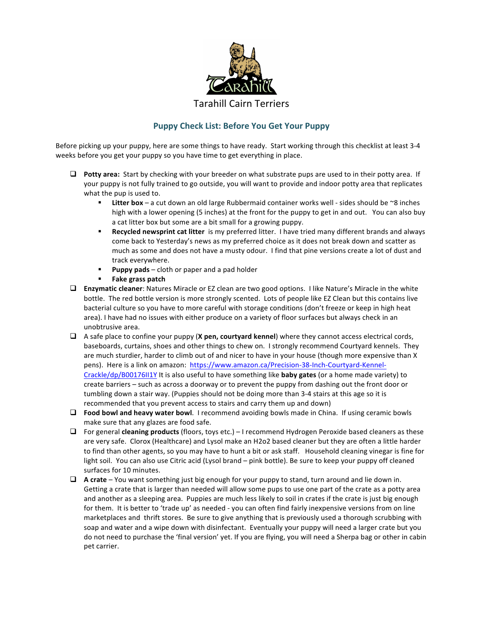

## **Puppy Check List: Before You Get Your Puppy**

Before picking up your puppy, here are some things to have ready. Start working through this checklist at least 3-4 weeks before you get your puppy so you have time to get everything in place.

- **D** Potty area: Start by checking with your breeder on what substrate pups are used to in their potty area. If your puppy is not fully trained to go outside, you will want to provide and indoor potty area that replicates what the pup is used to.
	- Litter box a cut down an old large Rubbermaid container works well sides should be ~8 inches high with a lower opening (5 inches) at the front for the puppy to get in and out. You can also buy a cat litter box but some are a bit small for a growing puppy.
	- **Recycled newsprint cat litter** is my preferred litter. I have tried many different brands and always come back to Yesterday's news as my preferred choice as it does not break down and scatter as much as some and does not have a musty odour. I find that pine versions create a lot of dust and track everywhere.
	- **Puppy pads** cloth or paper and a pad holder
	- § **Fake grass patch**
- □ **Enzymatic cleaner**: Natures Miracle or EZ clean are two good options. I like Nature's Miracle in the white bottle. The red bottle version is more strongly scented. Lots of people like EZ Clean but this contains live bacterial culture so you have to more careful with storage conditions (don't freeze or keep in high heat area). I have had no issues with either produce on a variety of floor surfaces but always check in an unobtrusive area.
- $\Box$  A safe place to confine your puppy (**X** pen, courtyard kennel) where they cannot access electrical cords, baseboards, curtains, shoes and other things to chew on. I strongly recommend Courtyard kennels. They are much sturdier, harder to climb out of and nicer to have in your house (though more expensive than X pens). Here is a link on amazon: https://www.amazon.ca/Precision-38-Inch-Courtyard-Kennel-Crackle/dp/B00176II1Y It is also useful to have something like **baby gates** (or a home made variety) to create barriers  $-$  such as across a doorway or to prevent the puppy from dashing out the front door or tumbling down a stair way. (Puppies should not be doing more than 3-4 stairs at this age so it is recommended that you prevent access to stairs and carry them up and down)
- □ **Food bowl and heavy water bowl**. I recommend avoiding bowls made in China. If using ceramic bowls make sure that any glazes are food safe.
- □ For general **cleaning products** (floors, toys etc.) I recommend Hydrogen Peroxide based cleaners as these are very safe. Clorox (Healthcare) and Lysol make an H2o2 based cleaner but they are often a little harder to find than other agents, so you may have to hunt a bit or ask staff. Household cleaning vinegar is fine for light soil. You can also use Citric acid (Lysol brand – pink bottle). Be sure to keep your puppy off cleaned surfaces for 10 minutes.
- $\Box$  **A** crate You want something just big enough for your puppy to stand, turn around and lie down in. Getting a crate that is larger than needed will allow some pups to use one part of the crate as a potty area and another as a sleeping area. Puppies are much less likely to soil in crates if the crate is just big enough for them. It is better to 'trade up' as needed - you can often find fairly inexpensive versions from on line marketplaces and thrift stores. Be sure to give anything that is previously used a thorough scrubbing with soap and water and a wipe down with disinfectant. Eventually your puppy will need a larger crate but you do not need to purchase the 'final version' yet. If you are flying, you will need a Sherpa bag or other in cabin pet carrier.